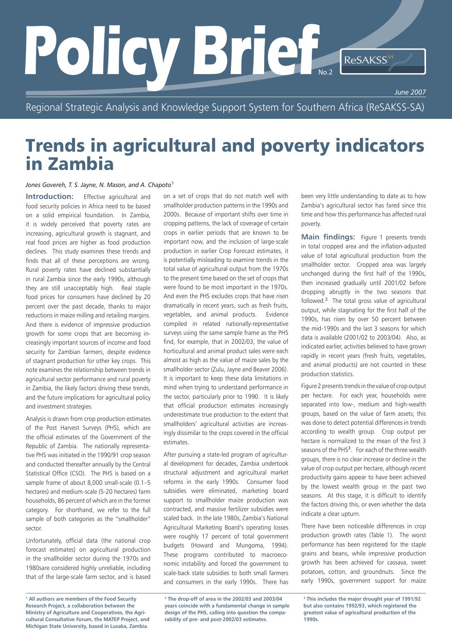# POICY Brief<sub>No.2</sub> ReSAKSS<sup>SN</sup> *June 2007* No.2

Regional Strategic Analysis and Knowledge Support System for Southern Africa (ReSAKSS-SA)

# Trends in agricultural and poverty indicators in Zambia

## *Jones Govereh, T. S. Jayne, N. Mason, and A. Chapoto***<sup>1</sup>**

**Introduction:** Effective agricultural and food security policies in Africa need to be based on a solid empirical foundation. In Zambia, it is widely perceived that poverty rates are increasing, agricultural growth is stagnant, and real food prices are higher as food production declines. This study examines these trends and finds that all of these perceptions are wrong. Rural poverty rates have declined substantially in rural Zambia since the early 1990s, although they are still unacceptably high. Real staple food prices for consumers have declined by 20 percent over the past decade, thanks to major reductions in maize milling and retailing margins. And there is evidence of impressive production growth for some crops that are becoming increasingly important sources of income and food security for Zambian farmers, despite evidence of stagnant production for other key crops. This note examines the relationship between trends in agricultural sector performance and rural poverty in Zambia, the likely factors driving these trends, and the future implications for agricultural policy and investment strategies.

Analysis is drawn from crop production estimates of the Post Harvest Surveys (PHS), which are the official estimates of the Government of the Republic of Zambia. The nationally representative PHS was initiated in the 1990/91 crop season and conducted thereafter annually by the Central Statistical Office (CSO). The PHS is based on a sample frame of about 8,000 small-scale (0.1–5 hectares) and medium-scale (5-20 hectares) farm households, 86 percent of which are in the former category. For shorthand, we refer to the full sample of both categories as the "smallholder" sector.

Unfortunately, official data (the national crop forecast estimates) on agricultural production in the smallholder sector during the 1970s and 1980sare considered highly unreliable, including that of the large-scale farm sector, and is based

**1 All authors are members of the Food Security Research Project, a collaboration between the Ministry of Agriculture and Cooperatives, the Agricultural Consultative Forum, the MATEP Project, and Michigan State University, based in Lusaka, Zambia.** 

on a set of crops that do not match well with smallholder production patterns in the 1990s and 2000s. Because of important shifts over time in cropping patterns, the lack of coverage of certain crops in earlier periods that are known to be important now, and the inclusion of large-scale production in earlier Crop Forecast estimates, it is potentially misleading to examine trends in the total value of agricultural output from the 1970s to the present time based on the set of crops that were found to be most important in the 1970s. And even the PHS excludes crops that have risen dramatically in recent years, such as fresh fruits, vegetables, and animal products. Evidence compiled in related nationally-representative surveys using the same sample frame as the PHS find, for example, that in 2002/03, the value of horticultural and animal product sales were each almost as high as the value of maize sales by the smallholder sector (Zulu, Jayne and Beaver 2006). It is important to keep these data limitations in mind when trying to understand performance in the sector, particularly prior to 1990. It is likely that official production estimates increasingly underestimate true production to the extent that smallholders' agricultural activities are increasingly dissimilar to the crops covered in the official estimates.

After pursuing a state-led program of agricultural development for decades, Zambia undertook structural adjustment and agricultural market reforms in the early 1990s. Consumer food subsidies were eliminated, marketing board support to smallholder maize production was contracted, and massive fertilizer subsidies were scaled back. In the late 1980s, Zambia's National Agricultural Marketing Board's operating losses were roughly 17 percent of total government budgets (Howard and Mungoma, 1994). These programs contributed to macroeconomic instability and forced the government to scale-back state subsidies to both small farmers and consumers in the early 1990s. There has

**2 The drop-off of area in the 2002/03 and 2003/04 years coincide with a fundamental change in sample design of the PHS, calling into question the comparability of pre- and post-2002/03 estimates.**

been very little understanding to date as to how Zambia's agricultural sector has fared since this time and how this performance has affected rural poverty.

**Main findings:** Figure 1 presents trends in total cropped area and the inflation-adjusted value of total agricultural production from the smallholder sector. Cropped area was largely unchanged during the first half of the 1990s, then increased gradually until 2001/02 before dropping abruptly in the two seasons that followed.**2** The total gross value of agricultural output, while stagnating for the first half of the 1990s, has risen by over 50 percent between the mid-1990s and the last 3 seasons for which data is available (2001/02 to 2003/04). Also, as indicated earlier, activities believed to have grown rapidly in recent years (fresh fruits, vegetables, and animal products) are not counted in these production statistics.

Figure 2 presents trends in the value of crop output per hectare. For each year, households were separated into low-, medium and high-wealth groups, based on the value of farm assets; this was done to detect potential differences in trends according to wealth group. Crop output per hectare is normalized to the mean of the first 3 seasons of the PHS**3**. For each of the three wealth groups, there is no clear increase or decline in the value of crop output per hectare, although recent productivity gains appear to have been achieved by the lowest wealth group in the past two seasons. At this stage, it is difficult to identify the factors driving this, or even whether the data indicate a clear upturn.

There have been noticeable differences in crop production growth rates (Table 1). The worst performance has been registered for the staple grains and beans, while impressive production growth has been achieved for cassava, sweet potatoes, cotton, and groundnuts. Since the early 1990s, government support for maize

**3 This includes the major drought year of 1991/92 but also contains 1992/93, which registered the greatest value of agricultural production of the 1990s.**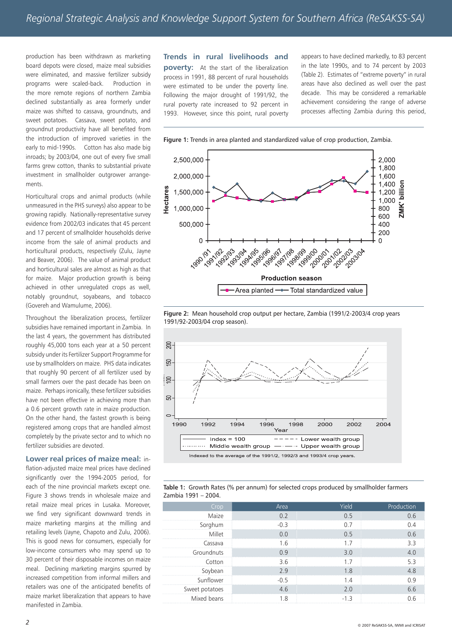production has been withdrawn as marketing board depots were closed, maize meal subsidies were eliminated, and massive fertilizer subsidy programs were scaled-back. Production in the more remote regions of northern Zambia declined substantially as area formerly under maize was shifted to cassava, groundnuts, and sweet potatoes. Cassava, sweet potato, and groundnut productivity have all benefited from the introduction of improved varieties in the early to mid-1990s. Cotton has also made big inroads; by 2003/04, one out of every five small farms grew cotton, thanks to substantial private investment in smallholder outgrower arrangements.

Horticultural crops and animal products (while unmeasured in the PHS surveys) also appear to be growing rapidly. Nationally-representative survey evidence from 2002/03 indicates that 45 percent and 17 percent of smallholder households derive income from the sale of animal products and horticultural products, respectively (Zulu, Jayne and Beaver, 2006). The value of animal product and horticultural sales are almost as high as that for maize. Major production growth is being achieved in other unregulated crops as well, notably groundnut, soyabeans, and tobacco (Govereh and Wamulume, 2006).

Throughout the liberalization process, fertilizer subsidies have remained important in Zambia. In the last 4 years, the government has distributed roughly 45,000 tons each year at a 50 percent subsidy under its Fertilizer Support Programme for use by smallholders on maize. PHS data indicates that roughly 90 percent of all fertilizer used by small farmers over the past decade has been on maize. Perhaps ironically, these fertilizer subsidies have not been effective in achieving more than a 0.6 percent growth rate in maize production. On the other hand, the fastest growth is being registered among crops that are handled almost completely by the private sector and to which no fertilizer subsidies are devoted.

**Lower real prices of maize meal:** inflation-adjusted maize meal prices have declined significantly over the 1994-2005 period, for each of the nine provincial markets except one. Figure 3 shows trends in wholesale maize and retail maize meal prices in Lusaka. Moreover, we find very significant downward trends in maize marketing margins at the milling and retailing levels (Jayne, Chapoto and Zulu, 2006). This is good news for consumers, especially for low-income consumers who may spend up to 30 percent of their disposable incomes on maize meal. Declining marketing margins spurred by increased competition from informal millers and retailers was one of the anticipated benefits of maize market liberalization that appears to have manifested in Zambia.

**Trends in rural livelihoods and poverty:** At the start of the liberalization process in 1991, 88 percent of rural households were estimated to be under the poverty line. Following the major drought of 1991/92, the rural poverty rate increased to 92 percent in 1993. However, since this point, rural poverty appears to have declined markedly, to 83 percent in the late 1990s, and to 74 percent by 2003 (Table 2). Estimates of "extreme poverty" in rural areas have also declined as well over the past decade. This may be considered a remarkable achievement considering the range of adverse processes affecting Zambia during this period,



**Figure 1:** Trends in area planted and standardized value of crop production, Zambia.





**Table 1:** Growth Rates (% per annum) for selected crops produced by smallholder farmers Zambia 1991 – 2004.

| Crop           | Area   | Yield | Production |
|----------------|--------|-------|------------|
| Maize          |        | 0.5   |            |
| Sorghum        | $-0.3$ |       |            |
| Millet         |        | 0 5   | (16        |
| Cassava        |        |       |            |
| Groundnuts     |        | 3 Q   |            |
| Cotton         | 3.6    |       |            |
| Soybean        | 2 g    | 8     |            |
| Sunflower      | $-0.5$ |       |            |
| Sweet potatoes | 46     | (1)   |            |
| Mixed beans    |        | -13   |            |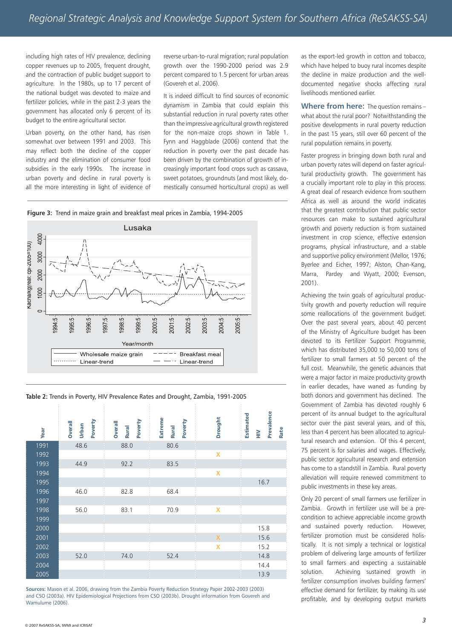including high rates of HIV prevalence, declining copper revenues up to 2005, frequent drought, and the contraction of public budget support to agriculture. In the 1980s, up to 17 percent of the national budget was devoted to maize and fertilizer policies, while in the past 2-3 years the government has allocated only 6 percent of its budget to the entire agricultural sector.

Urban poverty, on the other hand, has risen somewhat over between 1991 and 2003. This may reflect both the decline of the copper industry and the elimination of consumer food subsidies in the early 1990s. The increase in urban poverty and decline in rural poverty is all the more interesting in light of evidence of

reverse urban-to-rural migration; rural population growth over the 1990-2000 period was 2.9 percent compared to 1.5 percent for urban areas (Govereh et al. 2006).

It is indeed difficult to find sources of economic dynamism in Zambia that could explain this substantial reduction in rural poverty rates other than the impressive agricultural growth registered for the non-maize crops shown in Table 1. Fynn and Haggblade (2006) contend that the reduction in poverty over the past decade has been driven by the combination of growth of increasingly important food crops such as cassava, sweet potatoes, groundnuts (and most likely, domestically consumed horticultural crops) as well





**Table 2:** Trends in Poverty, HIV Prevalence Rates and Drought, Zambia, 1991-2005

| Year | Poverty<br><b>Overall</b><br>Urban | Poverty<br><b>Overall</b><br><b>Rural</b> | Extreme<br>Poverty<br><b>Rural</b> | <b>Drought</b>   | Prevalence<br>Estimated<br>Rate<br>$\geq$ |
|------|------------------------------------|-------------------------------------------|------------------------------------|------------------|-------------------------------------------|
| 1991 | 48.6                               | 88.0                                      | 80.6                               |                  |                                           |
| 1992 |                                    |                                           |                                    | X                |                                           |
| 1993 | 44.9                               | 92.2                                      | 83.5                               |                  |                                           |
| 1994 |                                    |                                           |                                    | X                |                                           |
| 1995 |                                    |                                           |                                    |                  | 16.7                                      |
| 1996 | 46.0                               | 82.8                                      | 68.4                               |                  |                                           |
| 1997 |                                    |                                           |                                    |                  |                                           |
| 1998 | 56.0                               | 83.1                                      | 70.9                               | X                |                                           |
| 1999 |                                    |                                           |                                    |                  |                                           |
| 2000 |                                    |                                           |                                    |                  | 15.8                                      |
| 2001 |                                    |                                           |                                    | $\boldsymbol{X}$ | 15.6                                      |
| 2002 |                                    |                                           |                                    | X                | 15.2                                      |
| 2003 | 52.0                               | 74.0                                      | 52.4                               |                  | 14.8                                      |
| 2004 |                                    |                                           |                                    |                  | 14.4                                      |
| 2005 |                                    |                                           |                                    |                  | 13.9                                      |

**Sources:** Mason et al. 2006, drawing from the Zambia Poverty Reduction Strategy Paper 2002-2003 (2003) and CSO (2003a). HIV Epidemiological Projections from CSO (2003b). Drought information from Govereh and Wamulume (2006).

as the export-led growth in cotton and tobacco, which have helped to buoy rural incomes despite the decline in maize production and the welldocumented negative shocks affecting rural livelihoods mentioned earlier.

**Where from here:** The question remains – what about the rural poor? Notwithstanding the positive developments in rural poverty reduction in the past 15 years, still over 60 percent of the rural population remains in poverty.

Faster progress in bringing down both rural and urban poverty rates will depend on faster agricultural productivity growth. The government has a crucially important role to play in this process. A great deal of research evidence from southern Africa as well as around the world indicates that the greatest contribution that public sector resources can make to sustained agricultural growth and poverty reduction is from sustained investment in crop science, effective extension programs, physical infrastructure, and a stable and supportive policy environment (Mellor, 1976; Byerlee and Eicher, 1997; Alston, Chan-Kang, Marra, Pardey and Wyatt, 2000; Evenson, 2001).

Achieving the twin goals of agricultural productivity growth and poverty reduction will require some reallocations of the government budget. Over the past several years, about 40 percent of the Ministry of Agriculture budget has been devoted to its Fertilizer Support Programme, which has distributed 35,000 to 50,000 tons of fertilizer to small farmers at 50 percent of the full cost. Meanwhile, the genetic advances that were a major factor in maize productivity growth in earlier decades, have waned as funding by both donors and government has declined. The Government of Zambia has devoted roughly 6 percent of its annual budget to the agricultural sector over the past several years, and of this, less than 4 percent has been allocated to agricultural research and extension. Of this 4 percent, 75 percent is for salaries and wages. Effectively, public sector agricultural research and extension has come to a standstill in Zambia. Rural poverty alleviation will require renewed commitment to public investments in these key areas.

Only 20 percent of small farmers use fertilizer in Zambia. Growth in fertilizer use will be a precondition to achieve appreciable income growth and sustained poverty reduction. However, fertilizer promotion must be considered holistically. It is not simply a technical or logistical problem of delivering large amounts of fertilizer to small farmers and expecting a sustainable solution. Achieving sustained growth in fertilizer consumption involves building farmers' effective demand for fertilizer, by making its use profitable, and by developing output markets